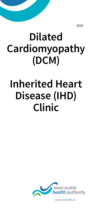2020

# **Dilated Cardiomyopathy (DCM)**

## **Inherited Heart Disease (IHD) Clinic**



*www.nshealth.ca*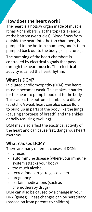#### **How does the heart work?**

The heart is a hollow organ made of muscle. It has 4 chambers: 2 at the top (atria) and 2 at the bottom (ventricles). Blood flows from outside the heart into the top chambers, is pumped to the bottom chambers, and is then pumped back out to the body (see pictures).

The pumping of the heart chambers is controlled by electrical signals that pass through the heart muscle. This electrical activity is called the heart rhythm.

#### **What is DCM?**

In dilated cardiomyopathy (DCM), the heart muscle becomes weak. This makes it harder for the heart to pump blood out to the body. This causes the bottom chambers to dilate (stretch). A weak heart can also cause fluid to build up in parts of the body like the lungs (causing shortness of breath) and the ankles or belly (causing swelling).

DCM may also affect the electrical activity of the heart and can cause fast, dangerous heart rhythms.

#### **What causes DCM?**

There are many different causes of DCM:

- › viruses
- $\rightarrow$  autoimmune disease (where your immune system attacks your body)
- › too much alcohol
- › recreational drugs (e.g., cocaine)
- › pregnancy
- $\rightarrow$  certain medications (such as chemotherapy drugs)

DCM can also be caused by a change in your DNA (genes). These changes can be hereditary (passed on from parents to children).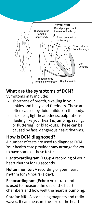

## **What are the symptoms of DCM?**

Symptoms may include:

- shortness of breath, swelling in your ankles and belly, and tiredness. These are often caused by fluid buildup in the body.
- $\rightarrow$  dizziness, lightheadedness, palpitations (feeling like your heart is jumping, racing, or fluttering), or blackouts. These can be caused by fast, dangerous heart rhythms.

#### **How is DCM diagnosed?**

A number of tests are used to diagnose DCM. Your health care provider may arrange for you to have some of these tests:

**Electrocardiogram (ECG):** A recording of your heart rhythm for 10 seconds.

**Holter monitor:** A recording of your heart rhythm for 24 hours (1 day).

**Echocardiogram (Echo):** An ultrasound is used to measure the size of the heart chambers and how well the heart is pumping.

**Cardiac MRI:** A scan using magnets and radio waves. It can measure the size of the heart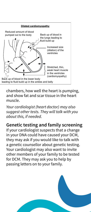

chambers, how well the heart is pumping, and show fat and scar tissue in the heart muscle.

*Your cardiologist (heart doctor) may also suggest other tests. They will talk with you about this, if needed.*

#### **Genetic testing and family screening**

If your cardiologist suspects that a change in your DNA could have caused your DCM, they may ask if you would like to talk with a genetic counsellor about genetic testing. Your cardiologist may also want to invite other members of your family to be tested for DCM. They may ask you to help by passing letters on to your family.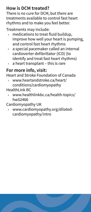## **How is DCM treated?**

There is no cure for DCM, but there are treatments available to control fast heart rhythms and to make you feel better.

Treatments may include:

- medications to treat fluid buildup, improve how well your heart is pumping, and control fast heart rhythms
- $\rightarrow$  a special pacemaker called an internal cardioverter defibrillator (ICD) (to identify and treat fast heart rhythms)
- $\rightarrow$  a heart transplant this is rare

## **For more info, visit:**

Heart and Stroke Foundation of Canada

- › www.heartandstroke.ca/heart/ conditions/cardiomyopathy
- HealthLink BC
	- › www.healthlinkbc.ca/health-topics/ hw52466

Cardiomyopathy UK

› www.cardiomyopathy.org/dilatedcardiomyopathy/intro